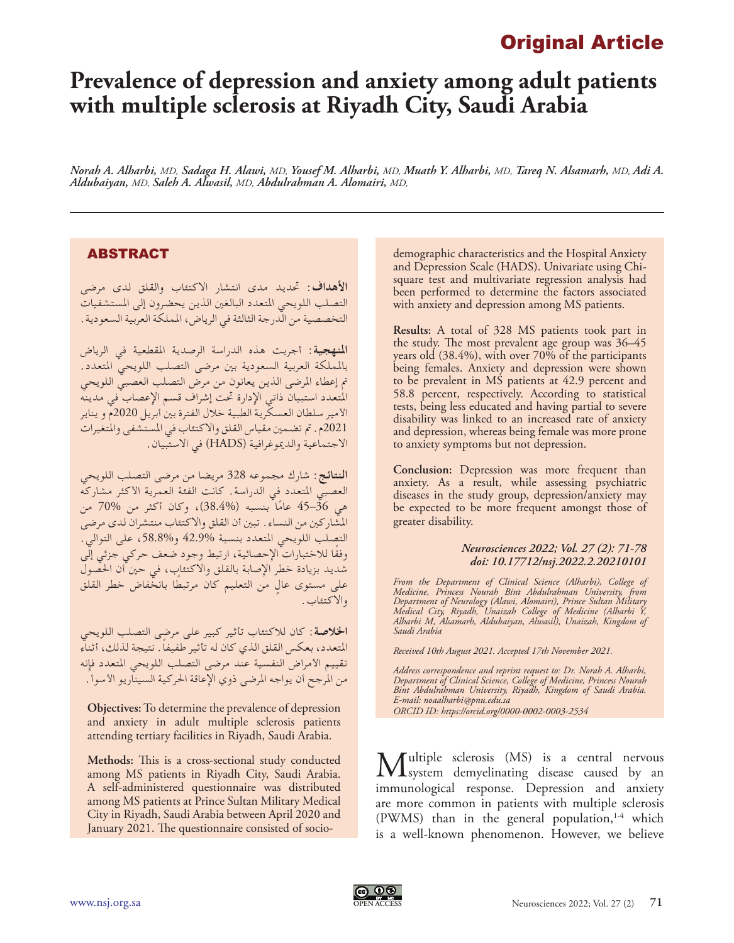## Original Article

# **Prevalence of depression and anxiety among adult patients with multiple sclerosis at Riyadh City, Saudi Arabia**

*Norah A. Alharbi, MD, Sadaga H. Alawi, MD, Yousef M. Alharbi, MD, Muath Y. Alharbi, MD, Tareq N. Alsamarh, MD, Adi A. Aldubaiyan, MD, Saleh A. Alwasil, MD, Abdulrahman A. Alomairi, MD,*

### ABSTRACT

**األهداف:** حتديد مدى انتشار االكتئاب والقلق لدى مرضى التصلب اللويحي املتعدد البالغني الذين يحضرون إلى املستشفيات التخصصية من الدرجة الثالثة في الرياض، اململكة العربية السعودية.

**املنهجية:** أجريت هذه الدراسة الرصدية املقطعية في الرياض باململكة العربية السعودية بني مرضى التصلب اللويحي املتعدد. مت إعطاء املرضى الذين يعانون من مرض التصلب العصبي اللويحي المتعدد استبيان ذاتي الإدارة تحت إشراف قسم الإعصاب في مدينه األمير سلطان العسكرية الطبية خالل الفترة بني أبريل 2020م و يناير 2021م. مت تضمني مقياس القلق واالكتئاب في املستشفى واملتغيرات االجتماعية والدميوغرافية )HADS )في االستبيان.

**النتائج:** شارك مجموعه 328 مريضا من مرضى التصلب اللويحي العصبي املتعدد في الدراسة. كانت الفئة العمرية األكثر مشاركه هي 36–45 عامًا بنسبه (%38.4)، وكان أكثر من %70 من املشاركني من النساء. تبني أن القلق واالكتئاب منتشران لدى مرضى التصلب اللويحي املتعدد بنسبة 42.9% و،58.8% على التوالي. ًوفقا لالختبارات اإلحصائية، ارتبط وجود ضعف حركي جزئي إلى شديد بزيادة خطر اإلصابة بالقلق واالكتئاب، في حني أن احلصول ٍ على مستوى عال ً من التعليم كان مرتبطا بانخفاض خطر القلق واالكتئاب.

**اخلالصة:** كان لالكتئاب تأثير كبير على مرضى التصلب اللويحي ً املتعدد، بعكس القلق الذي كان له تأثير طفيفا. نتيجة لذلك، أثناء تقييم الأمراض النفسية عند مرضى التصلب اللويحي المتعدد فإنه من المرجح أن يواجه المرضى ذوي الإعاقة الحركية السيناريو الأسوأ .

**Objectives:** To determine the prevalence of depression and anxiety in adult multiple sclerosis patients attending tertiary facilities in Riyadh, Saudi Arabia.

**Methods:** This is a cross-sectional study conducted among MS patients in Riyadh City, Saudi Arabia. A self-administered questionnaire was distributed among MS patients at Prince Sultan Military Medical City in Riyadh, Saudi Arabia between April 2020 and January 2021. The questionnaire consisted of sociodemographic characteristics and the Hospital Anxiety and Depression Scale (HADS). Univariate using Chisquare test and multivariate regression analysis had been performed to determine the factors associated with anxiety and depression among MS patients.

**Results:** A total of 328 MS patients took part in the study. The most prevalent age group was 36–45 years old (38.4%), with over 70% of the participants being females. Anxiety and depression were shown to be prevalent in MS patients at 42.9 percent and 58.8 percent, respectively. According to statistical tests, being less educated and having partial to severe disability was linked to an increased rate of anxiety and depression, whereas being female was more prone to anxiety symptoms but not depression.

**Conclusion:** Depression was more frequent than anxiety. As a result, while assessing psychiatric diseases in the study group, depression/anxiety may be expected to be more frequent amongst those of greater disability.

#### *Neurosciences 2022; Vol. 27 (2): 71-78 doi: 10.17712/nsj.2022.2.20210101*

*From the Department of Clinical Science (Alharbi), College of Medicine, Princess Nourah Bint Abdulrahman University, from Department of Neurology (Alawi, Alomairi), Prince Sultan Military Medical City, Riyadh, Unaizah College of Medicine (Alharbi Y, Alharbi M, Alsamarh, Aldubaiyan, Alwasil), Unaizah, Kingdom of Saudi Arabia*

*Received 10th August 2021. Accepted 17th November 2021.*

*Address correspondence and reprint request to: Dr. Norah A. Alharbi, Department of Clinical Science, College of Medicine, Princess Nourah Bint Abdulrahman University, Riyadh, Kingdom of Saudi Arabia. E-mail: noaalharbi@pnu.edu.sa ORCID ID: https://orcid.org/0000-0002-0003-2534*

Multiple sclerosis (MS) is a central nervous<br>
system demyelinating disease caused by an immunological response. Depression and anxiety are more common in patients with multiple sclerosis (PWMS) than in the general population, $1-4$  which is a well-known phenomenon. However, we believe

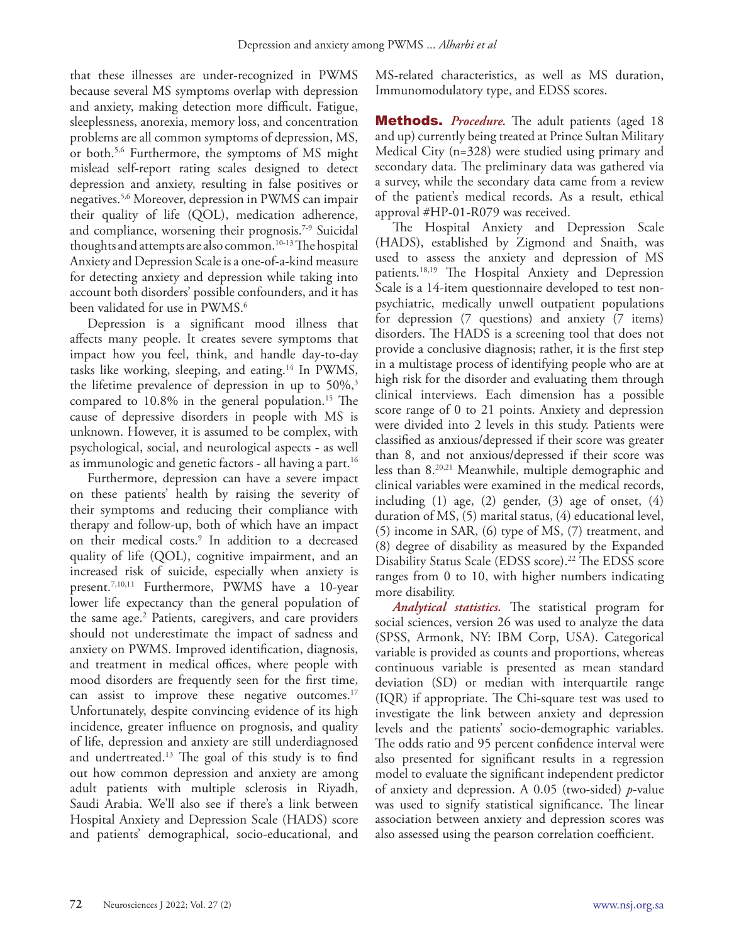that these illnesses are under-recognized in PWMS because several MS symptoms overlap with depression and anxiety, making detection more difficult. Fatigue, sleeplessness, anorexia, memory loss, and concentration problems are all common symptoms of depression, MS, or both.5,6 Furthermore, the symptoms of MS might mislead self-report rating scales designed to detect depression and anxiety, resulting in false positives or negatives.5,6 Moreover, depression in PWMS can impair their quality of life (QOL), medication adherence, and compliance, worsening their prognosis.<sup>7-9</sup> Suicidal thoughts and attempts are also common.10-13 The hospital Anxiety and Depression Scale is a one-of-a-kind measure for detecting anxiety and depression while taking into account both disorders' possible confounders, and it has been validated for use in PWMS.<sup>6</sup>

Depression is a significant mood illness that affects many people. It creates severe symptoms that impact how you feel, think, and handle day-to-day tasks like working, sleeping, and eating.14 In PWMS, the lifetime prevalence of depression in up to  $50\%,$ <sup>3</sup> compared to 10.8% in the general population.<sup>15</sup> The cause of depressive disorders in people with MS is unknown. However, it is assumed to be complex, with psychological, social, and neurological aspects - as well as immunologic and genetic factors - all having a part.<sup>16</sup>

Furthermore, depression can have a severe impact on these patients' health by raising the severity of their symptoms and reducing their compliance with therapy and follow-up, both of which have an impact on their medical costs.9 In addition to a decreased quality of life (QOL), cognitive impairment, and an increased risk of suicide, especially when anxiety is present.7,10,11 Furthermore, PWMS have a 10-year lower life expectancy than the general population of the same age.<sup>2</sup> Patients, caregivers, and care providers should not underestimate the impact of sadness and anxiety on PWMS. Improved identification, diagnosis, and treatment in medical offices, where people with mood disorders are frequently seen for the first time, can assist to improve these negative outcomes.<sup>17</sup> Unfortunately, despite convincing evidence of its high incidence, greater influence on prognosis, and quality of life, depression and anxiety are still underdiagnosed and undertreated.<sup>13</sup> The goal of this study is to find out how common depression and anxiety are among adult patients with multiple sclerosis in Riyadh, Saudi Arabia. We'll also see if there's a link between Hospital Anxiety and Depression Scale (HADS) score and patients' demographical, socio-educational, and

MS-related characteristics, as well as MS duration, Immunomodulatory type, and EDSS scores.

**Methods.** *Procedure*. The adult patients (aged 18) and up) currently being treated at Prince Sultan Military Medical City (n=328) were studied using primary and secondary data. The preliminary data was gathered via a survey, while the secondary data came from a review of the patient's medical records. As a result, ethical approval #HP-01-R079 was received.

The Hospital Anxiety and Depression Scale (HADS), established by Zigmond and Snaith, was used to assess the anxiety and depression of MS patients.18,19 The Hospital Anxiety and Depression Scale is a 14-item questionnaire developed to test nonpsychiatric, medically unwell outpatient populations for depression (7 questions) and anxiety (7 items) disorders. The HADS is a screening tool that does not provide a conclusive diagnosis; rather, it is the first step in a multistage process of identifying people who are at high risk for the disorder and evaluating them through clinical interviews. Each dimension has a possible score range of 0 to 21 points. Anxiety and depression were divided into 2 levels in this study. Patients were classified as anxious/depressed if their score was greater than 8, and not anxious/depressed if their score was less than 8.20,21 Meanwhile, multiple demographic and clinical variables were examined in the medical records, including (1) age, (2) gender, (3) age of onset, (4) duration of MS, (5) marital status, (4) educational level, (5) income in SAR, (6) type of MS, (7) treatment, and (8) degree of disability as measured by the Expanded Disability Status Scale (EDSS score). 22 The EDSS score ranges from 0 to 10, with higher numbers indicating more disability.

*Analytical statistics.* The statistical program for social sciences, version 26 was used to analyze the data (SPSS, Armonk, NY: IBM Corp, USA). Categorical variable is provided as counts and proportions, whereas continuous variable is presented as mean standard deviation (SD) or median with interquartile range (IQR) if appropriate. The Chi-square test was used to investigate the link between anxiety and depression levels and the patients' socio-demographic variables. The odds ratio and 95 percent confidence interval were also presented for significant results in a regression model to evaluate the significant independent predictor of anxiety and depression. A 0.05 (two-sided) *p*-value was used to signify statistical significance. The linear association between anxiety and depression scores was also assessed using the pearson correlation coefficient.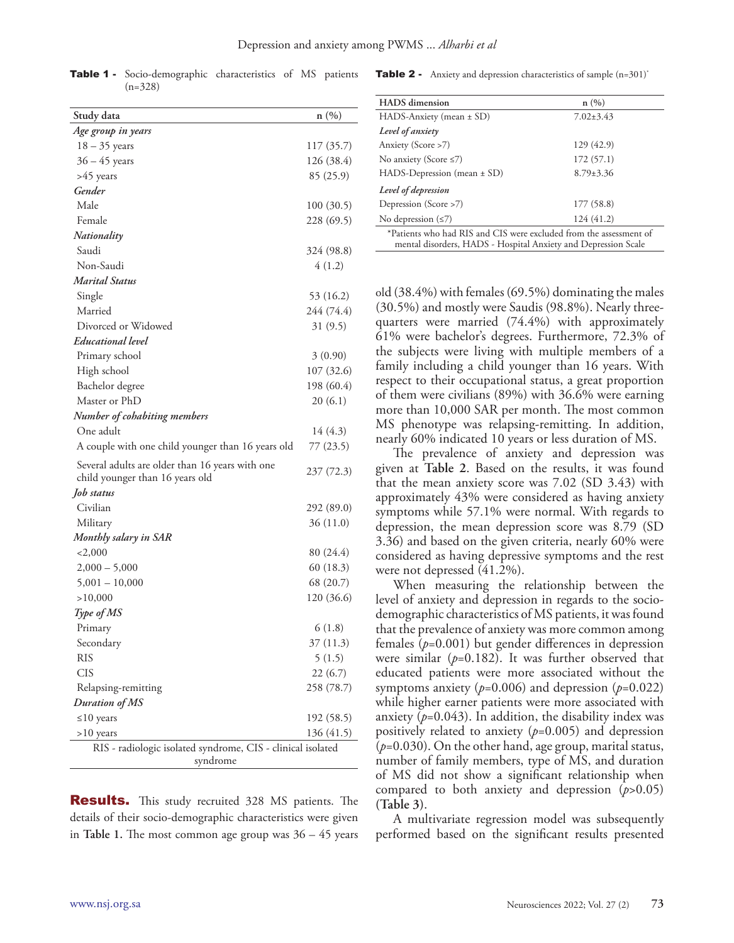| Study data                                                                         | n(%)       |
|------------------------------------------------------------------------------------|------------|
| Age group in years                                                                 |            |
| $18 - 35$ years                                                                    | 117 (35.7) |
| $36 - 45$ years                                                                    | 126 (38.4) |
| >45 years                                                                          | 85 (25.9)  |
| Gender                                                                             |            |
| Male                                                                               | 100 (30.5) |
| Female                                                                             | 228 (69.5) |
| Nationality                                                                        |            |
| Saudi                                                                              | 324 (98.8) |
| Non-Saudi                                                                          | 4(1.2)     |
| Marital Status                                                                     |            |
| Single                                                                             | 53 (16.2)  |
| Married                                                                            | 244 (74.4) |
| Divorced or Widowed                                                                | 31(9.5)    |
| Educational level                                                                  |            |
| Primary school                                                                     | 3(0.90)    |
| High school                                                                        | 107 (32.6) |
| Bachelor degree                                                                    | 198 (60.4) |
| Master or PhD                                                                      | 20(6.1)    |
| Number of cohabiting members                                                       |            |
| One adult                                                                          | 14 (4.3)   |
| A couple with one child younger than 16 years old                                  | 77 (23.5)  |
| Several adults are older than 16 years with one<br>child younger than 16 years old | 237 (72.3) |
| Job status                                                                         |            |
| Civilian                                                                           | 292 (89.0) |
| Military                                                                           | 36(11.0)   |
| Monthly salary in SAR                                                              |            |
| $<$ 2,000                                                                          | 80 (24.4)  |
| $2,000 - 5,000$                                                                    | 60 (18.3)  |
| $5,001 - 10,000$                                                                   | 68 (20.7)  |
| >10,000                                                                            | 120 (36.6) |
| Type of MS                                                                         |            |
| Primary                                                                            | 6(1.8)     |
| Secondary                                                                          | 37 (11.3)  |
| RIS                                                                                | 5(1.5)     |
| <b>CIS</b>                                                                         | 22(6.7)    |
| Relapsing-remitting                                                                | 258 (78.7) |
| Duration of MS                                                                     |            |
| $\leq 10$ years                                                                    | 192 (58.5) |
| $>10$ years                                                                        | 136 (41.5) |
| RIS - radiologic isolated syndrome, CIS - clinical isolated<br>syndrome            |            |

Table 1 - Socio-demographic characteristics of MS patients (n=328)

**Table 2** - Anxiety and depression characteristics of sample (n=301)<sup>\*</sup>

| <b>HADS</b> dimension                                                                                                                | n(%)            |
|--------------------------------------------------------------------------------------------------------------------------------------|-----------------|
| HADS-Anxiety (mean $\pm$ SD)                                                                                                         | $7.02 \pm 3.43$ |
| Level of anxiety                                                                                                                     |                 |
| Anxiety (Score >7)                                                                                                                   | 129 (42.9)      |
| No anxiety (Score $\leq$ 7)                                                                                                          | 172(57.1)       |
| $HADS-Depression (mean \pm SD)$                                                                                                      | $8.79 \pm 3.36$ |
| Level of depression                                                                                                                  |                 |
| Depression (Score >7)                                                                                                                | 177 (58.8)      |
| No depression $(\leq 7)$                                                                                                             | 124 (41.2)      |
| *Patients who had RIS and CIS were excluded from the assessment of<br>mental disorders, HADS - Hospital Anxiety and Depression Scale |                 |

old (38.4%) with females (69.5%) dominating the males (30.5%) and mostly were Saudis (98.8%). Nearly threequarters were married (74.4%) with approximately 61% were bachelor's degrees. Furthermore, 72.3% of the subjects were living with multiple members of a family including a child younger than 16 years. With respect to their occupational status, a great proportion of them were civilians (89%) with 36.6% were earning more than 10,000 SAR per month. The most common MS phenotype was relapsing-remitting. In addition, nearly 60% indicated 10 years or less duration of MS.

The prevalence of anxiety and depression was given at **Table 2**. Based on the results, it was found that the mean anxiety score was 7.02 (SD 3.43) with approximately 43% were considered as having anxiety symptoms while 57.1% were normal. With regards to depression, the mean depression score was 8.79 (SD 3.36) and based on the given criteria, nearly 60% were considered as having depressive symptoms and the rest were not depressed (41.2%).

When measuring the relationship between the level of anxiety and depression in regards to the sociodemographic characteristics of MS patients, it was found that the prevalence of anxiety was more common among females (*p*=0.001) but gender differences in depression were similar  $(p=0.182)$ . It was further observed that educated patients were more associated without the symptoms anxiety  $(p=0.006)$  and depression  $(p=0.022)$ while higher earner patients were more associated with anxiety  $(p=0.043)$ . In addition, the disability index was positively related to anxiety (*p*=0.005) and depression (*p*=0.030). On the other hand, age group, marital status, number of family members, type of MS, and duration of MS did not show a significant relationship when compared to both anxiety and depression (*p*>0.05) **(Table 3)**.

A multivariate regression model was subsequently performed based on the significant results presented

| <b>Results.</b> This study recruited 328 MS patients. The     |  |  |  |  |
|---------------------------------------------------------------|--|--|--|--|
| details of their socio-demographic characteristics were given |  |  |  |  |
| in Table 1. The most common age group was $36 - 45$ years     |  |  |  |  |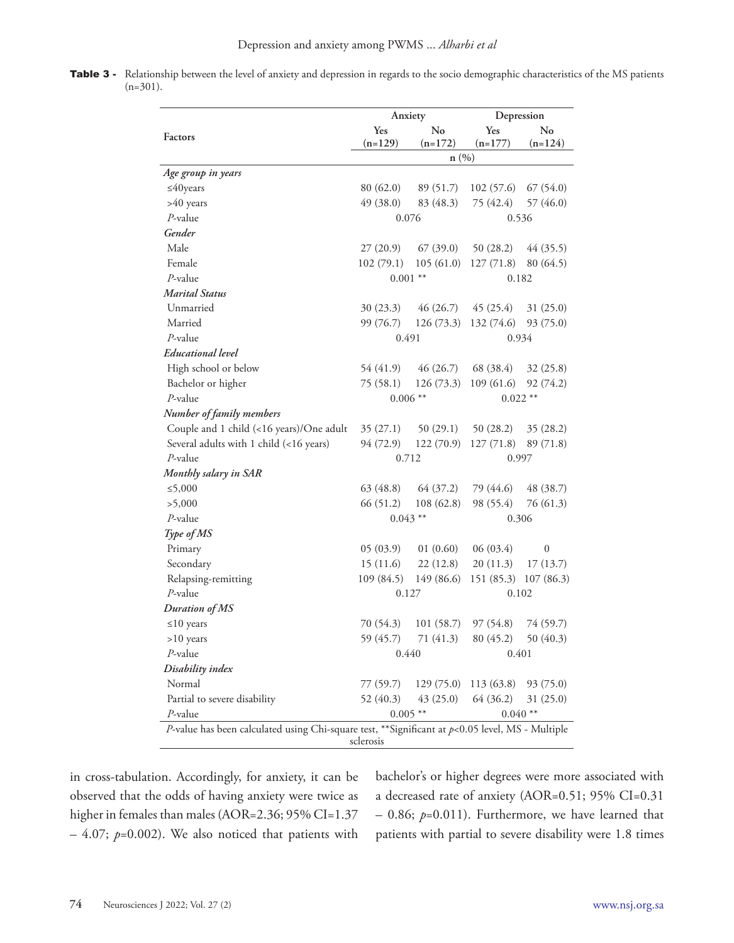Table 3 - Relationship between the level of anxiety and depression in regards to the socio demographic characteristics of the MS patients (n=301).

|                                                                                                     | Anxiety    |            | Depression |                  |  |
|-----------------------------------------------------------------------------------------------------|------------|------------|------------|------------------|--|
| Factors                                                                                             | No<br>Yes  |            | Yes        | No               |  |
|                                                                                                     | $(n=129)$  | $(n=172)$  | $(n=177)$  | $(n=124)$        |  |
|                                                                                                     | n(%)       |            |            |                  |  |
| Age group in years                                                                                  |            |            |            |                  |  |
| $\leq$ 40years                                                                                      | 80 (62.0)  | 89 (51.7)  | 102(57.6)  | 67(54.0)         |  |
| >40 years                                                                                           | 49 (38.0)  | 83 (48.3)  | 75 (42.4)  | 57 (46.0)        |  |
| $P$ -value                                                                                          | 0.076      |            | 0.536      |                  |  |
| Gender                                                                                              |            |            |            |                  |  |
| Male                                                                                                | 27(20.9)   | 67(39.0)   | 50(28.2)   | 44 (35.5)        |  |
| Female                                                                                              | 102(79.1)  | 105(61.0)  | 127(71.8)  | 80 (64.5)        |  |
| $P$ -value                                                                                          | $0.001$ ** |            | 0.182      |                  |  |
| <b>Marital Status</b>                                                                               |            |            |            |                  |  |
| Unmarried                                                                                           | 30(23.3)   | 46 (26.7)  | 45(25.4)   | 31(25.0)         |  |
| Married                                                                                             | 99 (76.7)  | 126(73.3)  | 132 (74.6) | 93(75.0)         |  |
| $P$ -value                                                                                          | 0.491      |            | 0.934      |                  |  |
| <b>Educational</b> level                                                                            |            |            |            |                  |  |
| High school or below                                                                                | 54 (41.9)  | 46(26.7)   | 68 (38.4)  | 32(25.8)         |  |
| Bachelor or higher                                                                                  | 75(58.1)   | 126(73.3)  | 109(61.6)  | 92 (74.2)        |  |
| $P$ -value                                                                                          | $0.006**$  |            | $0.022$ ** |                  |  |
| Number of family members                                                                            |            |            |            |                  |  |
| Couple and 1 child (<16 years)/One adult                                                            | 35(27.1)   | 50(29.1)   | 50(28.2)   | 35(28.2)         |  |
| Several adults with 1 child (<16 years)                                                             | 94 (72.9)  | 122(70.9)  | 127(71.8)  | 89 (71.8)        |  |
| $P$ -value                                                                                          | 0.712      |            | 0.997      |                  |  |
| Monthly salary in SAR                                                                               |            |            |            |                  |  |
| ≤5,000                                                                                              | 63 (48.8)  | 64 (37.2)  | 79 (44.6)  | 48 (38.7)        |  |
| >5,000                                                                                              | 66 (51.2)  | 108(62.8)  | 98 (55.4)  | 76 (61.3)        |  |
| $P$ -value                                                                                          | $0.043$ ** |            | 0.306      |                  |  |
| Type of MS                                                                                          |            |            |            |                  |  |
| Primary                                                                                             | 05(03.9)   | 01(0.60)   | 06(03.4)   | $\boldsymbol{0}$ |  |
| Secondary                                                                                           | 15(11.6)   | 22(12.8)   | 20(11.3)   | 17(13.7)         |  |
| Relapsing-remitting                                                                                 | 109(84.5)  | 149 (86.6) | 151 (85.3) | 107(86.3)        |  |
| $P$ -value                                                                                          | 0.127      |            | 0.102      |                  |  |
| Duration of MS                                                                                      |            |            |            |                  |  |
| $\leq 10$ years                                                                                     | 70 (54.3)  | 101(58.7)  | 97(54.8)   | 74 (59.7)        |  |
| >10 years                                                                                           | 59 (45.7)  | 71 (41.3)  | 80 (45.2)  | 50 (40.3)        |  |
| P-value                                                                                             | 0.440      |            | 0.401      |                  |  |
| Disability index                                                                                    |            |            |            |                  |  |
| Normal                                                                                              | 77 (59.7)  | 129(75.0)  | 113(63.8)  | 93(75.0)         |  |
| Partial to severe disability                                                                        | 52 (40.3)  | 43(25.0)   | 64 (36.2)  | 31(25.0)         |  |
| P-value                                                                                             | $0.005**$  |            | $0.040**$  |                  |  |
| P-value has been calculated using Chi-square test, ** Significant at $p$ <0.05 level, MS - Multiple |            |            |            |                  |  |
| sclerosis                                                                                           |            |            |            |                  |  |

in cross-tabulation. Accordingly, for anxiety, it can be observed that the odds of having anxiety were twice as higher in females than males (AOR=2.36; 95% CI=1.37 – 4.07; *p*=0.002). We also noticed that patients with bachelor's or higher degrees were more associated with a decreased rate of anxiety (AOR=0.51; 95% CI=0.31 – 0.86; *p*=0.011). Furthermore, we have learned that patients with partial to severe disability were 1.8 times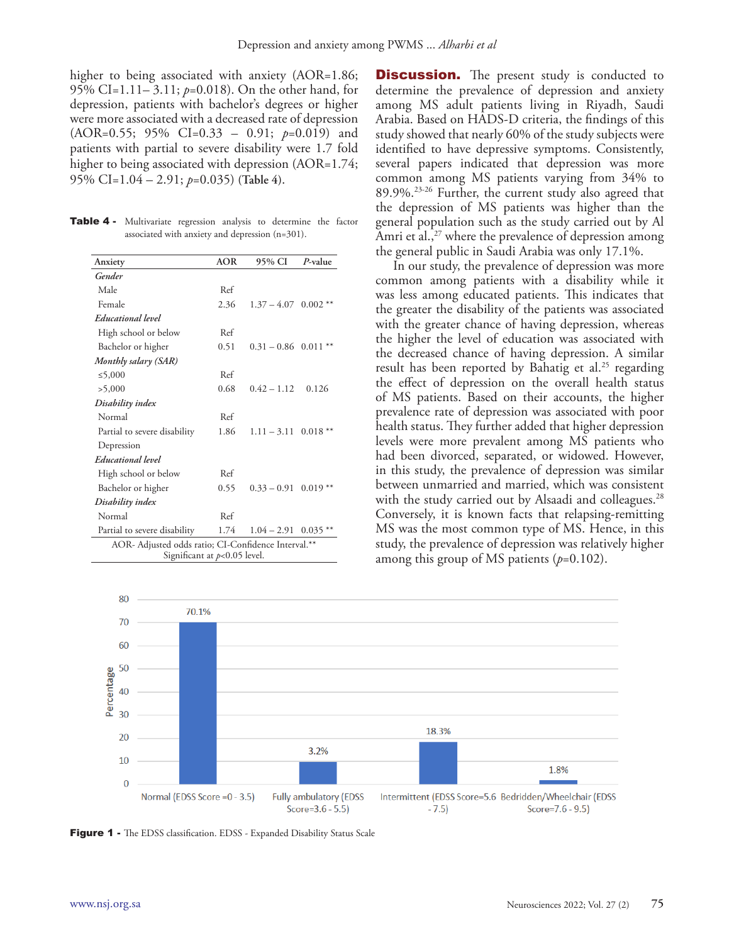higher to being associated with anxiety (AOR=1.86; 95% CI=1.11– 3.11; *p*=0.018). On the other hand, for depression, patients with bachelor's degrees or higher were more associated with a decreased rate of depression (AOR=0.55; 95% CI=0.33 – 0.91; *p*=0.019) and patients with partial to severe disability were 1.7 fold higher to being associated with depression (AOR=1.74; 95% CI=1.04 – 2.91; *p*=0.035) **(Table 4)**.

Table 4 - Multivariate regression analysis to determine the factor associated with anxiety and depression (n=301).

| Anxiety                                             | <b>AOR</b> | 95% CI                            | P-value    |  |  |
|-----------------------------------------------------|------------|-----------------------------------|------------|--|--|
| Gender                                              |            |                                   |            |  |  |
| Male                                                | Ref        |                                   |            |  |  |
| Female                                              | 2.36       | $1.37 - 4.07$ 0.002 <sup>**</sup> |            |  |  |
| <b>Educational</b> level                            |            |                                   |            |  |  |
| High school or below                                | Ref        |                                   |            |  |  |
| Bachelor or higher                                  | 0.51       | $0.31 - 0.86$ 0.011               |            |  |  |
| Monthly salary (SAR)                                |            |                                   |            |  |  |
| ≤5,000                                              | Ref        |                                   |            |  |  |
| >5,000                                              | 0.68       | $0.42 - 1.12$                     | 0.126      |  |  |
| Disability index                                    |            |                                   |            |  |  |
| Normal                                              | Ref        |                                   |            |  |  |
| Partial to severe disability                        | 1.86       | $1.11 - 3.11$ 0.018 **            |            |  |  |
| Depression                                          |            |                                   |            |  |  |
| Educational level                                   |            |                                   |            |  |  |
| High school or below                                | Ref        |                                   |            |  |  |
| Bachelor or higher                                  | 0.55       | $0.33 - 0.91$ $0.019$ **          |            |  |  |
| Disability index                                    |            |                                   |            |  |  |
| Normal                                              | Ref        |                                   |            |  |  |
| Partial to severe disability                        | 1.74       | $1.04 - 2.91$                     | $0.035***$ |  |  |
| AOR- Adjusted odds ratio; CI-Confidence Interval.** |            |                                   |            |  |  |
| Significant at $p<0.05$ level.                      |            |                                   |            |  |  |

**Discussion.** The present study is conducted to determine the prevalence of depression and anxiety among MS adult patients living in Riyadh, Saudi Arabia. Based on HADS-D criteria, the findings of this study showed that nearly 60% of the study subjects were identified to have depressive symptoms. Consistently, several papers indicated that depression was more common among MS patients varying from 34% to 89.9%.23-26 Further, the current study also agreed that the depression of MS patients was higher than the general population such as the study carried out by Al Amri et al., $^{27}$  where the prevalence of depression among the general public in Saudi Arabia was only 17.1%.

In our study, the prevalence of depression was more common among patients with a disability while it was less among educated patients. This indicates that the greater the disability of the patients was associated with the greater chance of having depression, whereas the higher the level of education was associated with the decreased chance of having depression. A similar result has been reported by Bahatig et al.<sup>25</sup> regarding the effect of depression on the overall health status of MS patients. Based on their accounts, the higher prevalence rate of depression was associated with poor health status. They further added that higher depression levels were more prevalent among MS patients who had been divorced, separated, or widowed. However, in this study, the prevalence of depression was similar between unmarried and married, which was consistent with the study carried out by Alsaadi and colleagues.<sup>28</sup> Conversely, it is known facts that relapsing-remitting MS was the most common type of MS. Hence, in this study, the prevalence of depression was relatively higher among this group of MS patients (*p*=0.102).



Figure 1 - The EDSS classification. EDSS - Expanded Disability Status Scale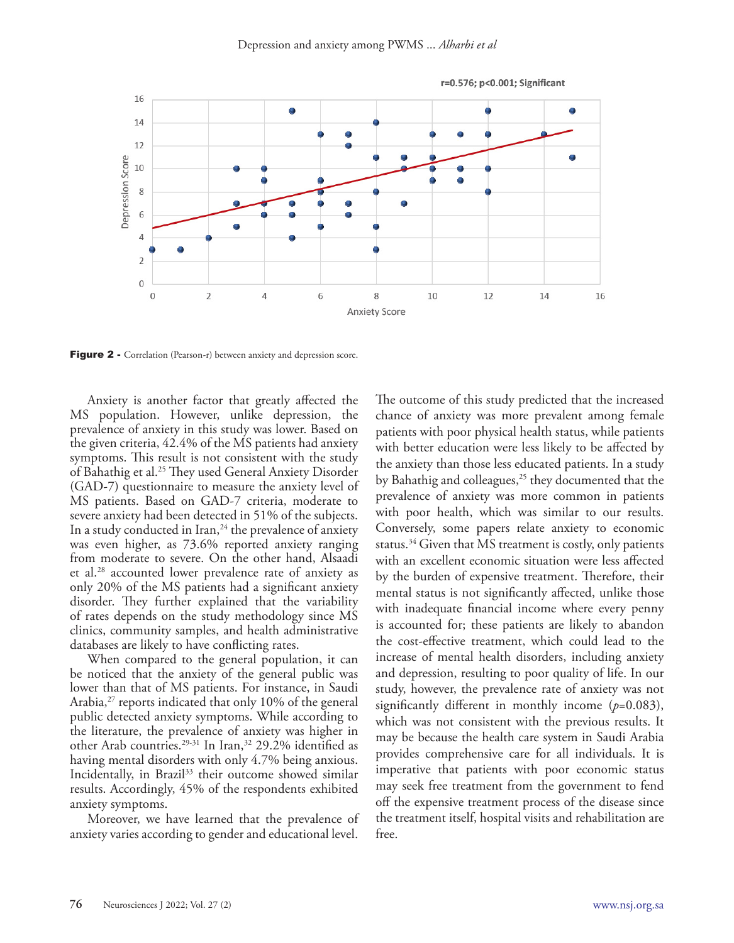

Figure 2 - Correlation (Pearson-r) between anxiety and depression score.

Anxiety is another factor that greatly affected the MS population. However, unlike depression, the prevalence of anxiety in this study was lower. Based on the given criteria, 42.4% of the MS patients had anxiety symptoms. This result is not consistent with the study of Bahathig et al.25 They used General Anxiety Disorder (GAD-7) questionnaire to measure the anxiety level of MS patients. Based on GAD-7 criteria, moderate to severe anxiety had been detected in 51% of the subjects. In a study conducted in Iran,<sup>24</sup> the prevalence of anxiety was even higher, as 73.6% reported anxiety ranging from moderate to severe. On the other hand, Alsaadi et al.28 accounted lower prevalence rate of anxiety as only 20% of the MS patients had a significant anxiety disorder. They further explained that the variability of rates depends on the study methodology since MS clinics, community samples, and health administrative databases are likely to have conflicting rates.

When compared to the general population, it can be noticed that the anxiety of the general public was lower than that of MS patients. For instance, in Saudi Arabia,<sup>27</sup> reports indicated that only 10% of the general public detected anxiety symptoms. While according to the literature, the prevalence of anxiety was higher in other Arab countries.<sup>29-31</sup> In Iran,<sup>32</sup> 29.2% identified as having mental disorders with only 4.7% being anxious. Incidentally, in Brazil<sup>33</sup> their outcome showed similar results. Accordingly, 45% of the respondents exhibited anxiety symptoms.

Moreover, we have learned that the prevalence of anxiety varies according to gender and educational level.

The outcome of this study predicted that the increased chance of anxiety was more prevalent among female patients with poor physical health status, while patients with better education were less likely to be affected by the anxiety than those less educated patients. In a study by Bahathig and colleagues,<sup>25</sup> they documented that the prevalence of anxiety was more common in patients with poor health, which was similar to our results. Conversely, some papers relate anxiety to economic status.<sup>34</sup> Given that MS treatment is costly, only patients with an excellent economic situation were less affected by the burden of expensive treatment. Therefore, their mental status is not significantly affected, unlike those with inadequate financial income where every penny is accounted for; these patients are likely to abandon the cost-effective treatment, which could lead to the increase of mental health disorders, including anxiety and depression, resulting to poor quality of life. In our study, however, the prevalence rate of anxiety was not significantly different in monthly income (*p*=0.083), which was not consistent with the previous results. It may be because the health care system in Saudi Arabia provides comprehensive care for all individuals. It is imperative that patients with poor economic status may seek free treatment from the government to fend off the expensive treatment process of the disease since the treatment itself, hospital visits and rehabilitation are free.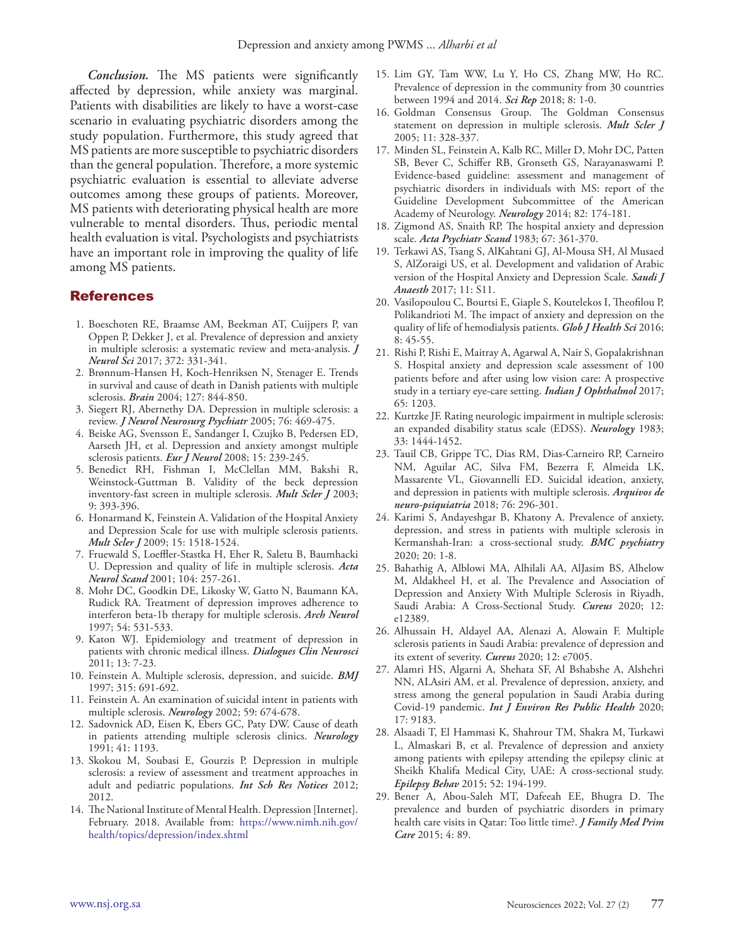*Conclusion.* The MS patients were significantly affected by depression, while anxiety was marginal. Patients with disabilities are likely to have a worst-case scenario in evaluating psychiatric disorders among the study population. Furthermore, this study agreed that MS patients are more susceptible to psychiatric disorders than the general population. Therefore, a more systemic psychiatric evaluation is essential to alleviate adverse outcomes among these groups of patients. Moreover, MS patients with deteriorating physical health are more vulnerable to mental disorders. Thus, periodic mental health evaluation is vital. Psychologists and psychiatrists have an important role in improving the quality of life among MS patients.

#### References

- 1. Boeschoten RE, Braamse AM, Beekman AT, Cuijpers P, van Oppen P, Dekker J, et al. Prevalence of depression and anxiety in multiple sclerosis: a systematic review and meta-analysis. *J Neurol Sci* 2017; 372: 331-341.
- 2. Brønnum-Hansen H, Koch-Henriksen N, Stenager E. Trends in survival and cause of death in Danish patients with multiple sclerosis. *Brain* 2004; 127: 844-850.
- 3. Siegert RJ, Abernethy DA. Depression in multiple sclerosis: a review. *J Neurol Neurosurg Psychiatr* 2005; 76: 469-475.
- 4. Beiske AG, Svensson E, Sandanger I, Czujko B, Pedersen ED, Aarseth JH, et al. Depression and anxiety amongst multiple sclerosis patients. *Eur J Neurol* 2008; 15: 239-245.
- 5. Benedict RH, Fishman I, McClellan MM, Bakshi R, Weinstock-Guttman B. Validity of the beck depression inventory-fast screen in multiple sclerosis. *Mult Scler J* 2003; 9: 393-396.
- 6. Honarmand K, Feinstein A. Validation of the Hospital Anxiety and Depression Scale for use with multiple sclerosis patients. *Mult Scler J* 2009; 15: 1518-1524.
- 7. Fruewald S, Loeffler-Stastka H, Eher R, Saletu B, Baumhacki U. Depression and quality of life in multiple sclerosis. *Acta Neurol Scand* 2001; 104: 257-261.
- 8. Mohr DC, Goodkin DE, Likosky W, Gatto N, Baumann KA, Rudick RA. Treatment of depression improves adherence to interferon beta-1b therapy for multiple sclerosis. *Arch Neurol*  1997; 54: 531-533.
- 9. Katon WJ. Epidemiology and treatment of depression in patients with chronic medical illness. *Dialogues Clin Neurosci*  2011; 13: 7-23.
- 10. Feinstein A. Multiple sclerosis, depression, and suicide. *BMJ* 1997; 315: 691-692.
- 11. Feinstein A. An examination of suicidal intent in patients with multiple sclerosis. *Neurology* 2002; 59: 674-678.
- 12. Sadovnick AD, Eisen K, Ebers GC, Paty DW. Cause of death in patients attending multiple sclerosis clinics. *Neurology*  1991; 41: 1193.
- 13. Skokou M, Soubasi E, Gourzis P. Depression in multiple sclerosis: a review of assessment and treatment approaches in adult and pediatric populations. *Int Sch Res Notices* 2012; 2012.
- 14. The National Institute of Mental Health. Depression [Internet]. February. 2018. Available from: https://www.nimh.nih.gov/ health/topics/depression/index.shtml
- 15. Lim GY, Tam WW, Lu Y, Ho CS, Zhang MW, Ho RC. Prevalence of depression in the community from 30 countries between 1994 and 2014. *Sci Rep* 2018; 8: 1-0.
- 16. Goldman Consensus Group. The Goldman Consensus statement on depression in multiple sclerosis. *Mult Scler J*  2005; 11: 328-337.
- 17. Minden SL, Feinstein A, Kalb RC, Miller D, Mohr DC, Patten SB, Bever C, Schiffer RB, Gronseth GS, Narayanaswami P. Evidence-based guideline: assessment and management of psychiatric disorders in individuals with MS: report of the Guideline Development Subcommittee of the American Academy of Neurology. *Neurology* 2014; 82: 174-181.
- 18. Zigmond AS, Snaith RP. The hospital anxiety and depression scale. *Acta Psychiatr Scand* 1983; 67: 361-370.
- 19. Terkawi AS, Tsang S, AlKahtani GJ, Al-Mousa SH, Al Musaed S, AlZoraigi US, et al. Development and validation of Arabic version of the Hospital Anxiety and Depression Scale. *Saudi J Anaesth* 2017; 11: S11.
- 20. Vasilopoulou C, Bourtsi E, Giaple S, Koutelekos I, Theofilou P, Polikandrioti M. The impact of anxiety and depression on the quality of life of hemodialysis patients. *Glob J Health Sci* 2016; 8: 45-55.
- 21. Rishi P, Rishi E, Maitray A, Agarwal A, Nair S, Gopalakrishnan S. Hospital anxiety and depression scale assessment of 100 patients before and after using low vision care: A prospective study in a tertiary eye-care setting. *Indian J Ophthalmol* 2017; 65: 1203.
- 22. Kurtzke JF. Rating neurologic impairment in multiple sclerosis: an expanded disability status scale (EDSS). *Neurology* 1983; 33: 1444-1452.
- 23. Tauil CB, Grippe TC, Dias RM, Dias-Carneiro RP, Carneiro NM, Aguilar AC, Silva FM, Bezerra F, Almeida LK, Massarente VL, Giovannelli ED. Suicidal ideation, anxiety, and depression in patients with multiple sclerosis. *Arquivos de neuro-psiquiatria* 2018; 76: 296-301.
- 24. Karimi S, Andayeshgar B, Khatony A. Prevalence of anxiety, depression, and stress in patients with multiple sclerosis in Kermanshah-Iran: a cross-sectional study. *BMC psychiatry* 2020; 20: 1-8.
- 25. Bahathig A, Alblowi MA, Alhilali AA, AlJasim BS, Alhelow M, Aldakheel H, et al. The Prevalence and Association of Depression and Anxiety With Multiple Sclerosis in Riyadh, Saudi Arabia: A Cross-Sectional Study. *Cureus* 2020; 12: e12389.
- 26. Alhussain H, Aldayel AA, Alenazi A, Alowain F. Multiple sclerosis patients in Saudi Arabia: prevalence of depression and its extent of severity. *Cureus* 2020; 12: e7005.
- 27. Alamri HS, Algarni A, Shehata SF, Al Bshabshe A, Alshehri NN, ALAsiri AM, et al. Prevalence of depression, anxiety, and stress among the general population in Saudi Arabia during Covid-19 pandemic. *Int J Environ Res Public Health* 2020; 17: 9183.
- 28. Alsaadi T, El Hammasi K, Shahrour TM, Shakra M, Turkawi L, Almaskari B, et al. Prevalence of depression and anxiety among patients with epilepsy attending the epilepsy clinic at Sheikh Khalifa Medical City, UAE: A cross-sectional study. *Epilepsy Behav* 2015; 52: 194-199.
- 29. Bener A, Abou-Saleh MT, Dafeeah EE, Bhugra D. The prevalence and burden of psychiatric disorders in primary health care visits in Qatar: Too little time?. *J Family Med Prim Care* 2015; 4: 89.